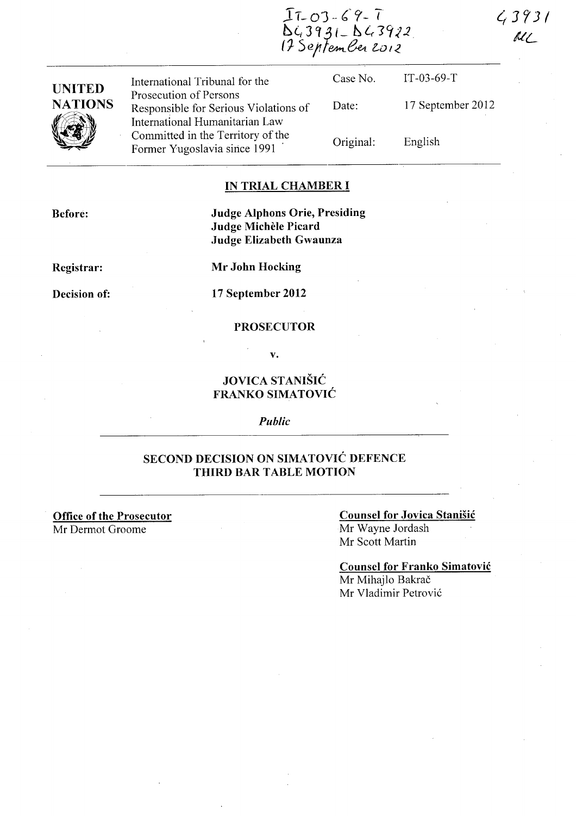$43931$  $ML$ 



| UNITED         |
|----------------|
| <b>NATIONS</b> |
|                |

International Tribunal for the Prosecution of Persons Responsible for Serious Violations of International Humanitarian Law Committed in the Territory of the Former Yugoslavia since 1991 .

Case No. Date: Original: IT-03-69-T 17 September 2012 English

### **IN TRIAL CHAMBER I**

**Before:** 

**Judge Alphons Orie, Presiding Judge Michele Picard Judge Elizabeth Gwaunza** 

**Registrar:** 

**Mr John Hocking** 

**Decision of:** 

**17 September 2012** 

#### **PROSECUTOR**

**v.** 

# **JOVICA STANISIC FRANKO SIMATOVIC**

*Public* 

## **SECOND DECISION ON SIMATOVIC DEFENCE THIRD BAR TABLE MOTION**

**Office of the Prosecutor**  Mr Dermot Groome

#### **Counsel for Jovica Stanisic**

Mr Wayne lordash Mr Scott Martin

**Counsel for Franko Simatovic** 

Mr Mihajlo Bakrač Mr Vladimir Petrovi6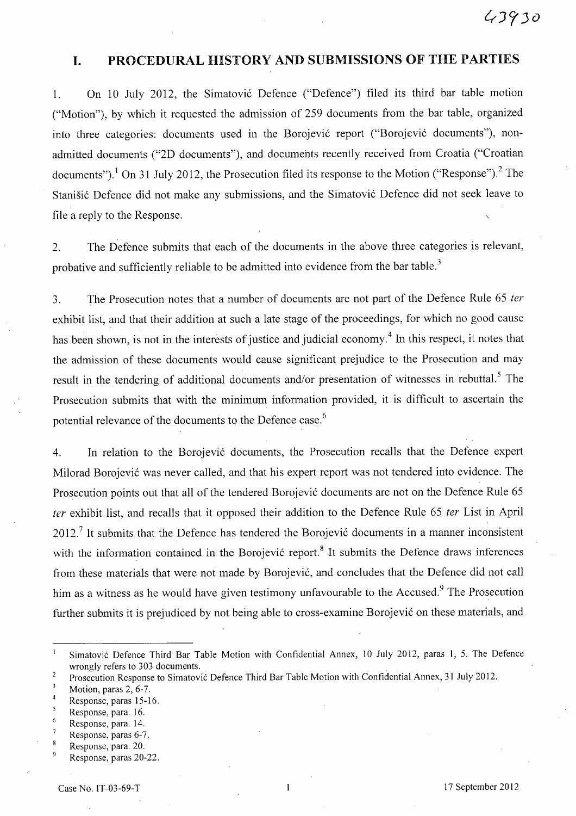# **I. PROCEDURAL HISTORY AND SUBMISSIONS OF** THE **PARTIES**

1. On 10 July 2012, the Simatović Defence ("Defence") filed its third bar table motion ("Motion"), by which it requested the admission of 259 documents from the bar table, organized into three categories: documents used in the Borojević report ("Borojević documents"), nonadmitted documents ("2D documents"), and documents recently received from Croatia ("Croatian documents").<sup>1</sup> On 31 July 2012, the Prosecution filed its response to the Motion ("Response").<sup>2</sup> The Stanišić Defence did not make any submissions, and the Simatović Defence did not seek leave to file a reply to the Response.

2. The Defence submits that each of the documents in the above three categories is relevant, probative and sufficiently reliable to be admitted into evidence from the bar table.<sup>3</sup>

3. The Prosecution notes that a number of documents are not part of the Defence Rule 65 ter exhibit list, and that their addition at such a late stage of the proceedings, for which no good cause has been shown, is not in the interests of justice and judicial economy.<sup>4</sup> In this respect, it notes that the admission of these documents would cause significant prejudice to the Prosecution and may result in the tendering of additional documents and/or presentation of witnesses in rebuttal.<sup>5</sup> The Prosecution submits that with the minimum information provided, it is difficult to ascertain the potential relevance of the documents to the Defence case.<sup>6</sup>

4. In relation to the Borojević documents, the Prosecution recalls that the Defence expert Milorad Borojević was never called, and that his expert report was not tendered into evidence. The Prosecution points out that all of the tendered Borojević documents are not on the Defence Rule 65 fer exhibit list, and recalls that it opposed their addition to the Defence Rule 65 fer List in April  $2012<sup>7</sup>$  It submits that the Defence has tendered the Borojević documents in a manner inconsistent with the information contained in the Borojević report.<sup>8</sup> It submits the Defence draws inferences from these materials that were not made by Borojevi6, and concludes that the Defence did not call him as a witness as he would have given testimony unfavourable to the Accused.<sup>9</sup> The Prosecution further submits it is prejudiced by not being able to cross-examine Borojević on these materials, and

Simatovic Defence Third Bar Table Motion with Confidential Annex, 10 July 2012, paras 1, 5. The Defence wrongly refers to 303 documents.

Prosecution Response to Simatovic Defence Third Bar Table Motion with Confidential Annex, 31 July 2012.  $\overline{2}$ 

Motion, paras 2, 6-7.

Response, paras 15-16.

<sup>5</sup> Response, para. 16.

<sup>6</sup> Response, para. 14.

 $\overline{7}$ Response, paras 6-7.

 $\bf 8$ Response, para. 20.

 $\overline{9}$ Response, paras 20-22.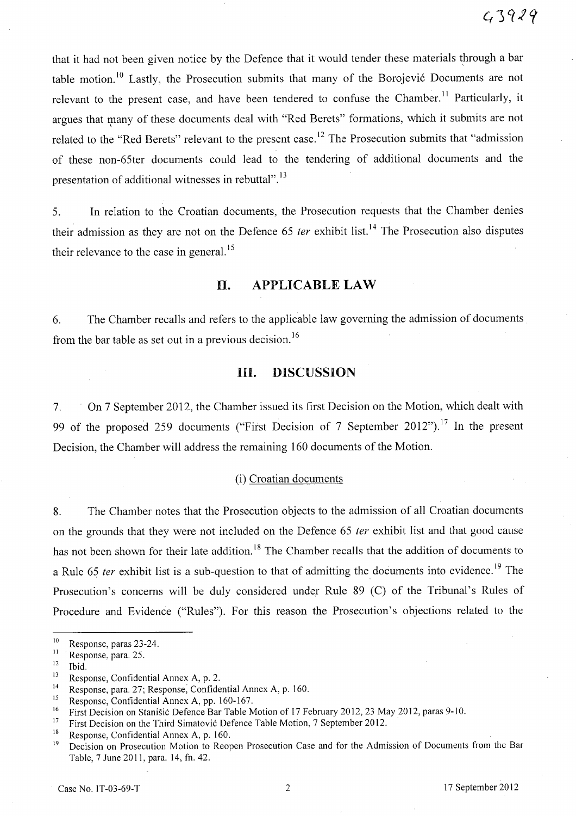that it had not been given notice by the Defence that it would tender these materials through a bar table motion.<sup>10</sup> Lastly, the Prosecution submits that many of the Borojević Documents are not relevant to the present case, and have been tendered to confuse the Chamber.<sup>11</sup> Particularly, it argues that many of these documents deal with "Red Berets" formations, which it submits are not \ related to the "Red Berets" relevant to the present case.<sup>12</sup> The Prosecution submits that "admission of these non-65ter documents could lead to the tendering of additional documents and the presentation of additional witnesses in rebuttal".<sup>13</sup>

5. In relation to the Croatian documents, the Prosecution requests that the Chamber denies their admission as they are not on the Defence 65 *ter* exhibit list.<sup>14</sup> The Prosecution also disputes their relevance to the case in general.<sup>15</sup>

#### **II. APPLICABLE LAW**

6. The Chamber recalls and refers to the applicable law governing the admission of documents from the bar table as set out in a previous decision. <sup>16</sup>

# **HI. DISCUSSION**

7. On 7 September 2012, the Chamber issued its first Decision on the Motion, which dealt with 99 of the proposed 259 documents ("First Decision of 7 September 2012").<sup>17</sup> In the present Decision, the Chamber will address the remaining 160 documents of the Motion.

#### (i) Croatian documents

8. The Chamber notes that the Prosecution objects to the admission of all Croatian documents on the grounds that they were not included on the Defence 65 fer exhibit list and that good cause has not been shown for their late addition.<sup>18</sup> The Chamber recalls that the addition of documents to a Rule 65 ter exhibit list is a sub-question to that of admitting the documents into evidence.<sup>19</sup> The Prosecution's concerns will be duly considered under Rule 89 (C) of the Tribunal's Rules of Procedure and Evidence ("Rules"). For this reason the Prosecution's objections related to the

 $\frac{10}{11}$  Response, paras 23-24.

Response, para. 25.

 $12$  Ibid.

<sup>&</sup>lt;sup>13</sup> Response, Confidential Annex A, p. 2.<br><sup>14</sup> Responses name 27: Response Confident

<sup>&</sup>lt;sup>14</sup> Response, para. 27; Response, Confidential Annex A, p. 160.<br><sup>15</sup> Personse: Confidential Annex A, pp. 160, 167

<sup>&</sup>lt;sup>15</sup> Response, Confidential Annex A, pp. 160-167.<br><sup>16</sup> Einst Decision on Stanišić Defence Bar Table M.

<sup>&</sup>lt;sup>16</sup> First Decision on Stanišić Defence Bar Table Motion of 17 February 2012, 23 May 2012, paras 9-10.

<sup>&</sup>lt;sup>17</sup> First Decision on the Third Simatovic Defence Table Motion, 7 September 2012.

<sup>&</sup>lt;sup>18</sup> Response, Confidential Annex A, p. 160.<br><sup>19</sup> Decision on Prosecution Motion to Reor

Decision on Prosecution Motion to Reopen Prosecution Case and for the Admission of Documents from the Bar Table, 7 June 2011, para. 14, fn. 42.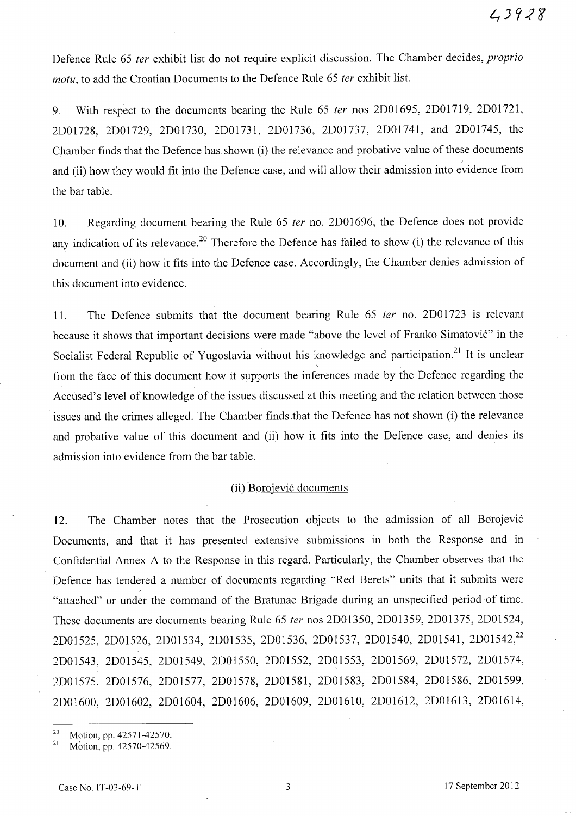Defence Rule 65 ter exhibit list do not require explicit discussion. The Chamber decides, *proprio* motu, to add the Croatian Documents to the Defence Rule 65 ter exhibit list.

9. With respect to the documents bearing the Rule 65 fer nos 2D01695, 2D01719, 2D01721, 2DOI728, 2D01729, 2D01730, 2D01731, 2D01736, 2D01737, 2D01741, and 2D01745, the Chamber finds that the Defence has. shown (i) the relevance and probative value of these documents and (ii) how they would fit into the Defence case, and will allow their admission into evidence from the bar table.

10. Regarding document bearing the Rule 65 ter no. 2D01696, the Defence does not provide any indication of its relevance.<sup>20</sup> Therefore the Defence has failed to show (i) the relevance of this document and (ii) how it fits into the Defence case. Accordingly, the Chamber denies admission of this document into evidence.

11. The Defence submits that the document bearing Rule 65 ter no. 2DOI723 is relevant because it shows that important decisions were made "above the level of Franko Simatovic" in the Socialist Federal Republic of Yugoslavia without his knowledge and participation.<sup>21</sup> It is unclear from the face of this document how it supports the inferences made by the Defence regarding the Accused's level of knowledge of the issues discussed at this meeting and the relation between those issues and the crimes alleged. The Chamber finds that the Defence has not shown (i) the relevance and probative value of this document and (ii) how it fits into the Defence case, and denies its admission into evidence from the bar table.

#### (ii) Borojevic documents

12. The Chamber notes that the Prosecution objects to the admission of all Borojevic Documents, and that it has presented extensive submissions in both the Response and in Confidential Annex A to the Response in this regard. Particularly, the Chamber observes that the Defence has tendered a number of documents regarding "Red Berets" units that it submits were "attached" or under the command of the Bratunac Brigade during an unspecified period of time. These documents are documents bearing Rule 65 ter nos 2D01350, 2D01359, 2D01375, 2D01524, 2D01525, 2D01526, 2D01534, 2D01535, 2D01536, 2D01537, 2D01540, 2D01541, 2D01542,<sup>22</sup> 2D01543, 2D01545, 2D01549, 2D01550, 2D01552, 2D01553, 2D01569, 2DOI572, 2D01574, 2D01575, 2D01576, 2D01577, 2D01578, 2D01581, 2D01583, 2D01584, 2D01586, 2D01599, 2D01600, 2D01602, 2D01604, 2D01606, 2D01609, 2D01610, 2D01612, 2D01613, 2D01614,

<sup>&</sup>lt;sup>20</sup> Motion, pp. 42571-42570.

Motion, pp. 42570-42569.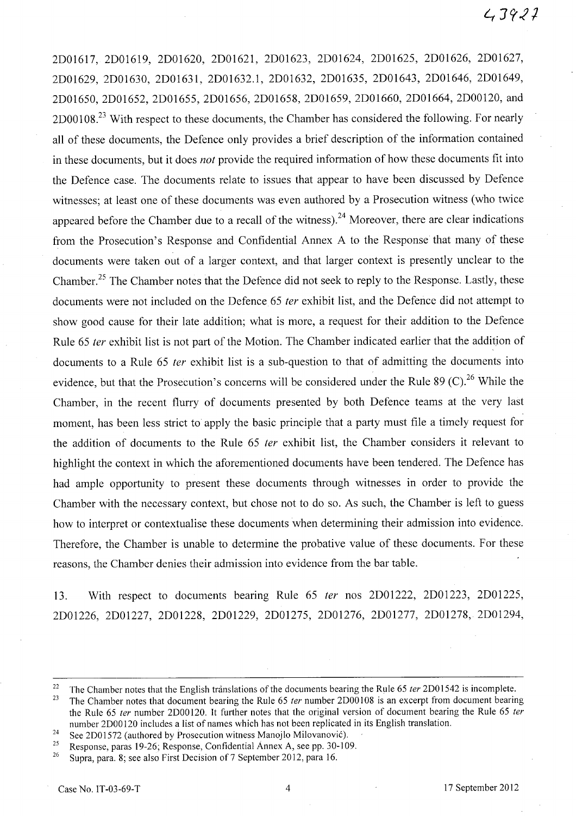# $43921$

2D01617, 2D01619, 2D01620, 2D01621, 2D01623, 2D01624, 2D01625, 2D01626, 2D01627, 2D01629, 2D01630, 2D01631, 2D01632.1, 2D01632, 2D01635, 2D01643, 2D01646, 2DOl649, 2D01650, 2D01652, 2D01655, 2D01656, 2D01658, 2D01659, 2D01660, 2D01664, 2D00120, and 2D00108.<sup>23</sup> With respect to these documents, the Chamber has considered the following. For nearly all of these documents, the Defence only provides a brief description of the information contained in these documents, but it does nof provide the required information of how these documents fit into the Defence case. The documents relate to issues that appear to have been discussed by Defence witnesses; at least one of these documents was even authored by a Prosecution witness (who twice appeared before the Chamber due to a recall of the witness).<sup>24</sup> Moreover, there are clear indications from the Prosecution's Response and Confidential Annex A to the Response that many of these documents were taken out of a larger context, and that larger context is presently unclear to the Chamber.<sup>25</sup> The Chamber notes that the Defence did not seek to reply to the Response. Lastly, these documents were not included on the Defence 65 *ter* exhibit list, and the Defence did not attempt to show good cause for their late addition; what is more, a request for their addition to the Defence Rule 65 fer exhibit list is not part of the Motion. The Chamber indicated earlier that the addition of documents to a Rule 65 fer exhibit list is a sub-question to that of admitting the documents into evidence, but that the Prosecution's concerns will be considered under the Rule 89 (C).<sup>26</sup> While the Chamber, in the recent flurry of documents presented by both Defence teams at the very last moment, has been less strict to apply the basic principle that a party must file a timely request for the addition of documents to the Rule 65 ter exhibit list, the Chamber considers it relevant to highlight the context in which the aforementioned documents have been tendered. The Defence has had ample opportunity to present these documents through witnesses in order to provide the Chamber with the necessary context, but chose not to do so. As such, the Chamber is left to guess how to interpret or contextualise these documents when determining their admission into evidence. Therefore, the Chamber is unable to determine the probative value of these documents. For these reasons, the Chamber denies their admission into evidence from the bar table.

13. With respect to documents bearing Rule 65 ter nos 2D01222, 2D01223, 2D01225, 2D01226, 2D01227, 2D01228, 2D01229, 2D01275, 2D01276, 2D01277, 2D01278, 2D01294,

<sup>&</sup>lt;sup>22</sup> The Chamber notes that the English translations of the documents bearing the Rule 65 ter 2D01542 is incomplete.<br><sup>23</sup> The Chamber notes that document begring the Pule 65 ter number 2D00108 is an except from document b

The Chamber notes that document bearing the Rule 65 ter number 2D00108 is an excerpt from document bearing the Rule 65 ter number 2D00120. It further notes that the original version of document bearing the Rule 65 ter number 2D00120 includes a list of names which has not been replicated in its English translation.

<sup>&</sup>lt;sup>24</sup> See 2D01572 (authored by Prosecution witness Manojlo Milovanović).<br><sup>25</sup> Perponse, paras 19.26; Response, Confidential Annex A, see pp. 30-10;

<sup>&</sup>lt;sup>25</sup> Response, paras 19-26; Response, Confidential Annex A, see pp. 30-109.<br><sup>26</sup> Surge name <sup>81</sup> 808 also First Desigion of 7 Sontamber 2012, para 16

<sup>26</sup> Supra, para. 8; see also First Decision of 7 September 2012, para 16.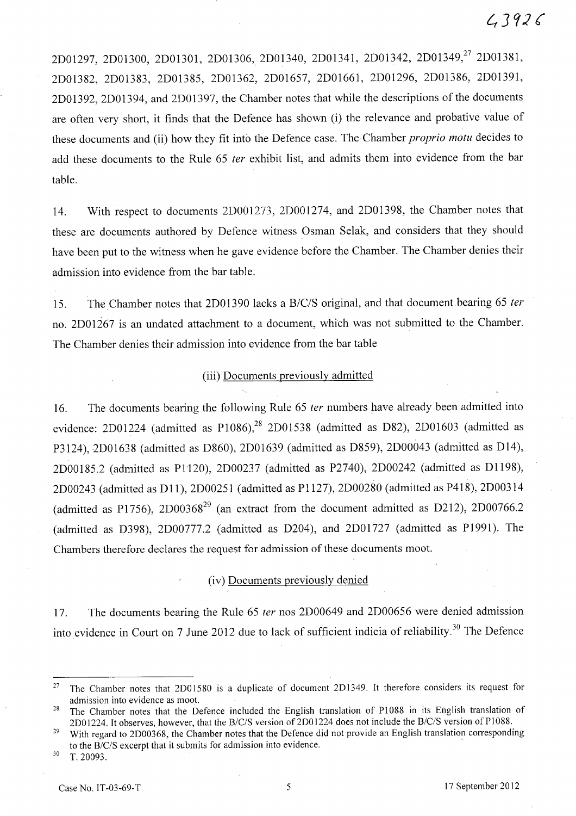2D01297, 2D01300, 2D01301, 2D01306, 2D01340, 2D01341, 2D01342, 2D01349,<sup>27</sup> 2D01381, 2D01382, 2D01383, 2D01385, 2D01362, 2D01657, 2D01661, 2D01296, 2D01386, 2D01391, 2D01392, 2D01394, and 2D01397, the Chamber notes that while the descriptions of the documents are often very short, it finds that the Defence has shown (i) the relevance and probative value of these documents and (ii) how they fit into the Defence case. The Chamber *proprio motu* decides to add these documents to the Rule 65 ter exhibit list, and admits them into evidence from the bar table.

14. With respect to documents 2D001273, 2D001274, and 2D01398, the Chamber notes that these are documents authored by Defence witness Osman Selak, and considers that they should have been put to the witness when he gave evidence before the Chamber. The Chamber denies their admission into evidence from the bar table.

15. The Chamber notes that 2D01390 lacks a *B/C/S* original, and that document bearing 65 fer no. 2D01267 is an undated attachment to a document, which was not submitted to the Chamber. The Chamber denies their admission into evidence from the bar table

#### (iii) Documents previously admitted

16. The documents bearing the following Rule 65 *ter* numbers have already been admitted into evidence: 2D01224 (admitted as P1086), $^{28}$  2D01538 (admitted as D82), 2D01603 (admitted as P3124), 2D01638 (admitted as D860), 2D01639 (admitted as D859), 2D00043 (admitted as D14), 2D00185.2 (admitted as P1120), 2D00237 (admitted as P2740), 2D00242 (admitted as Dl198), 2D00243 (admitted as D11), 2D00251 (admitted as P1127), 2D00280 (admitted as P418), 2D00314 (admitted as P1756), 2D00368<sup>29</sup> (an extract from the document admitted as D212), 2D00766.2 (admitted as D398), 2D00777.2 (admitted as D204), and 2D01727 (admitted as P1991). The Chambers therefore declares the request for admission of these documents moot.

#### (iv) Documents previously denied

17. The documents bearing the Rule 65 ter nos 2D00649 and 2D00656 were denied admission into evidence in Court on 7 June 2012 due to lack of sufficient indicia of reliability.<sup>30</sup> The Defence

<sup>&</sup>lt;sup>27</sup> The Chamber notes that 2D01580 is a duplicate of document 2D1349. It therefore considers its request for admission into evidence as moot.

<sup>&</sup>lt;sup>28</sup> The Chamber notes that the Defence included the English translation of P1088 in its English translation of 2D01224. It observes, however, that the *B/C/S* version of 2D01224 does not include the *B/C/S* version of P1088.

<sup>&</sup>lt;sup>29</sup> With regard to 2D00368, the Chamber notes that the Defence did not provide an English translation corresponding to the *B/c/S* excerpt that it submits for admission into evidence. .

 $30$  T. 20093.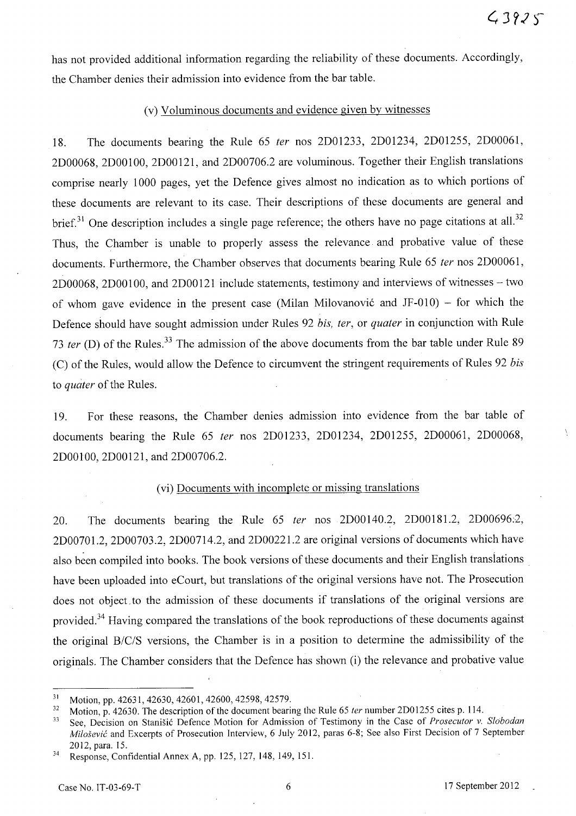has not provided additional information regarding the reliability of these documents. Accordingly, the Chamber denies their admission into evidence from the bar table.

#### (v) Voluminous documents and evidence given by witnesses

18. The documents bearing the Rule 65 *ter* nos 2D01233, 2D01234, 2D01255, 2D0006l, 2D00068, 2DOOI00, 2DOOI2l, and 2D00706.2 are voluminous. Together their English translations comprise nearly 1000 pages, yet the Defence gives almost no indication as to which portions of these documents are relevant to its case. Their descriptions of these documents are general and brief.<sup>31</sup> One description includes a single page reference; the others have no page citations at all.<sup>32</sup> Thus, the Chamber is unable to properly assess the relevance and probative value of these documents. Furthermore, the Chamber observes that documents bearing Rule 65 *fer* nos 2D0006l, 2D00068, 2DOO 100, and 2DOO 121 include statements, testimony and interviews of witnesses - two of whom gave evidence in the present case (Milan Milovanović and JF-010) – for which the Defence should have sought admission under Rules 92 *bis, fer,* or *quater* in conjunction with Rule *73 ter* (D) of the Rules. 33 The admission of the above documents from the bar table under Rule 89 (C) of the Rules, would allow the Defence to circumvent the stringent requirements of Rules 92 *bis*  to *quater* of the Rules.

19. For these reasons, the Chamber denies admission into evidence from the bar table of documents bearing the Rule 65 *ter* nos 2D01233, 2D01234, 2D01255, 2D00061, 2D00068, 2DOOIOO, 2D00121, and 2D00706.2.

# (vi) Documents with incomplete or missing translations

20. The documents bearing the Rule 65 *ter* nos 2DOOl40.2, 2DOOI81.2, 2D00696:2, 2D00701.2, 2D00703.2, 2D00714.2, and 2D00221.2 are original versions of documents which have also been compiled into books. The book versions of these documents and their English translations. have been uploaded into eCourt, but translations of the original versions have not. The Prosecution does not object to the admission of these documents if translations of the original versions are provided.<sup>34</sup> Having compared the translations of the book reproductions of these documents against the original B/C/S versions, the Chamber is in a position to determine the admissibility of the originals. The Chamber considers that the Defence has shown (i) the relevance and probative value

<sup>&</sup>lt;sup>31</sup> Motion, pp. 42631, 42630, 42601, 42600, 42598, 42579.

<sup>&</sup>lt;sup>32</sup> Motion, p. 42630. The description of the document bearing the Rule 65 *ter* number 2D01255 cites p. 114.

<sup>33</sup> See, Decision on Stanisic Defence Motion for Admission of Testimony in the Case of *Prosecutor* v. *Slobodan Milosevic* and Excerpts of Prosecution Interview, 6 July 2012, paras 6-8; See also First Decision of 7 September 2012, para. 15.

<sup>34</sup> Response, Confidential Annex A, pp. 125, 127, 148,149, 15l.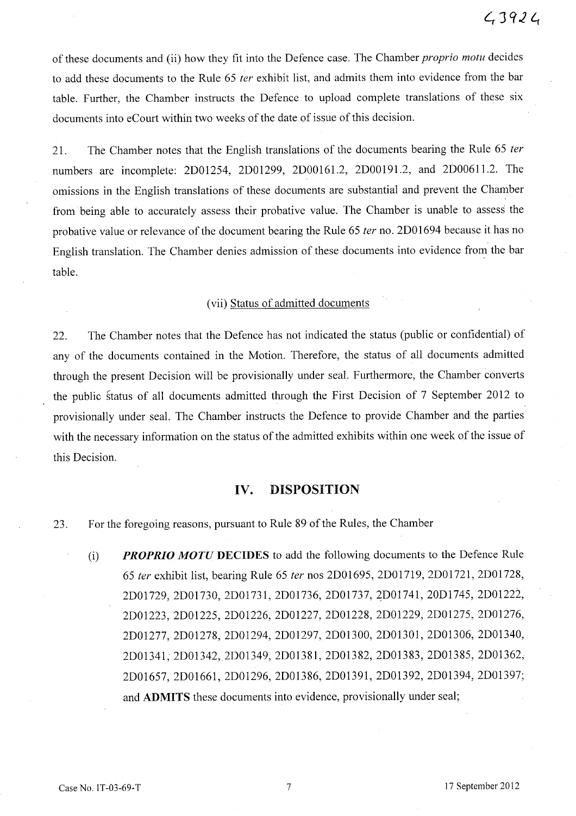of these documents and (ii) how they fit into the Defence case. The Chamber *proprio motu* decides to add these documents to the Rule 65 *ter* exhibit list, and admits them into evidence from the bar table. Further, the Chamber instructs the Defence to upload complete translations of these six documents into eCourt within two weeks of the date of issue of this decision.

21. The Chamber notes that the English translations of the documents bearing the Rule 65 *ter*  numbers are incomplete: 2D01254, 2D01299, 2D00161.2, 2D00191.2, and 2D00611.2. The omissions in the English translations of these documents are substantial and prevent the Chamber from being able to accurately assess their probative value. The Chamber is unable to assess the probative value or relevance of the document bearing the Rule 65 *ter* no. 2D01694 because it has no English translation. The Chamber denies admission of these documents into evidence from the bar table.

#### (vii) Status of admitted documents

22. The Chamber notes that the Defence has not indicated the status (public or confidential) of any of the documents contained in the Motion. Therefore, the status of all documents admitted through the present Decision will be provisionally under seal. Furthermore, the Chamber converts the public status of all documents admitted through the First Decision of 7 September 2012 to provisionally under seal. The Chamber instructs the Defence to provide Chamber and the parties with the necessary information on the status of the admitted exhibits within one week of the issue of this Decision.

#### **IV. DISPOSITION**

23. For the foregoing reasons, pursuant to Rule 89 of the Rules, the Chamber

(i) *PROPRIO MOTU* **DECIDES** to add the following documents to the Defence Rule *65 ter* exhibit list, bearing Rule 65 *ter* nos 2D01695, 2D01719, 2DOl721, 2DOl728, 2D01729, 2D01730, 2D01731, 2D01736, 2D01737, 2D01741, 20D1745, 2D01222, 2D01223, 2D01225, 2D01226, 2D01227, 2D01228, 2D01229, 2D01275, 2D01276, 2D01277, 2D01278, 2D01294, 2D01297, 2D01300, 2D01301, 2D01306, 2D01340, 2D01341, 2D01342,2D01349, 2D01381, 2D01382, 2D01383, 2D01385, 2D01362, 2D01657, 2D01661, 2D01296, 2D01386, 2D01391, 2D01392, 2D01394, 2D01397; and **ADMITS** these documents into evidence, provisionally under seal;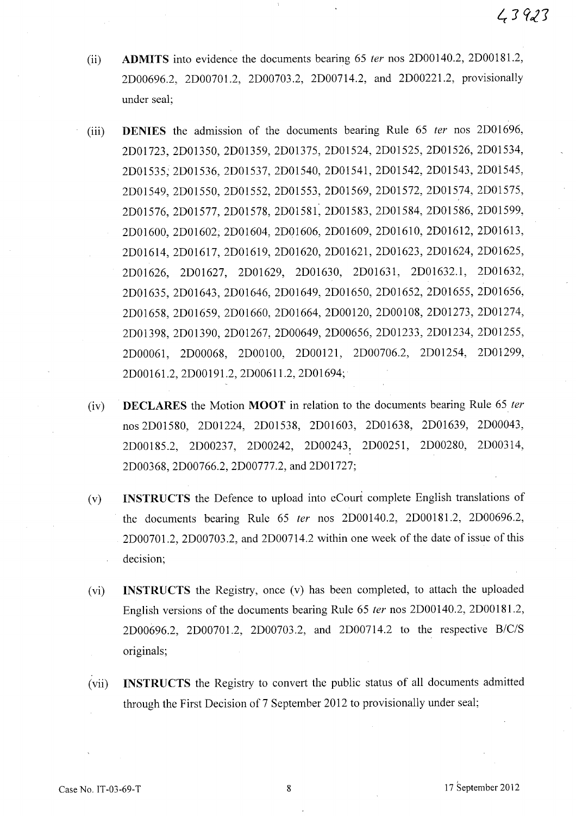- (ii) **ADMITS** into evidence the documents bearing 65 fer nos 2D00140.2, 2D00181.2, 2D00696.2, 2D00701.2, 2D00703.2, 2D00714.2, and 2D00221.2, provisionally under seal;
- (iii) **DENIES** the admission of the documents bearing Rule 65 ter nos 2D01696, 2D01723, 2D01350, 2D01359, 2D01375, 2D01524, 2D01525, 2D01526, 2D01534, 2D01535,' 2D01536, 2D01537, 2D01540, 2D01541, 2D01542, 2D01543, 2D01545, 2D01549, 2D01550, 2D01552, 2D01553, 2D01569, 2D01572, 2D01574, 2D01575, 2D01576, 2D01577, 2D01578, 2D01581, 2D01583, 2D01584, 2D01586, 2D01599, 2D01600, 2D01602, 2D01604, 2D01606, 2D01609, 2D01610, 2D01612, 2D01613, 2D01614, 2D01617, 2D01619, 2D01620, 2D01621, 2D01623, 2D01624, 2D01625, 2D01626, 2D01627, 2D01629, 2D01630, 2D01631, 2D01632.1, 2D01632, 2D01635, 2D01643, 2D01646, 2D01649, 2D01650, 2D01652, 2D01655, 2D01656, 2D01658, 2D01659, 2D01660, 2D01664, 2D00120, 2D00108, 2D01273, 2D01274, 2D01398, 2D01390, 2D01267, 2D00649, 2D00656, 2D01233, 2D01234, 2D01255, 2D00061, 2D00068, 2D00100, 2D00121, 2D00706.2, 2D01254, 2D01299, 2D00161.2, 2D00191.2, 2D00611.2, 2D01694;
- (iv) **DECLARES** the Motion **MOOT** in relation to the documents bearing Rule 65 fer nos 2D01580, 2D01224, 2D01538, 2D01603, 2D01638, 2D01639, 2D00043, 2D00185.2, 2D00237, 2D00242, 2D00243, 2D00251, 2D00280, 2D00314, 2D00368, 2D00766.2, 2D00777.2, and 2D01727;
- (v) **INSTRUCTS** the Defence to upload into eCourt complete English translations of the documents bearing Rule 65 fer nos 2D00140.2, 2D00181.2, 2D00696.2, 2D0070 1.2, 2D00703.2, and 2D00714.2 within one week of the date of issue of this decision;
- (vi) **INSTRUCTS** the Registry, once (v) has been completed, to attach the uploaded English versions of the documents bearing Rule 65 fer nos 2DOO 140.2, 2DOO 181.2, 2D00696.2, 2D00701.2, 2D00703.2, and 2D00714.2 to the respective *B/C/S*  originals;
- (vii) **INSTRUCTS** the Registry to convert the public status of all documents admitted through the First Decision of 7 September 2012 to provisionally under seal;